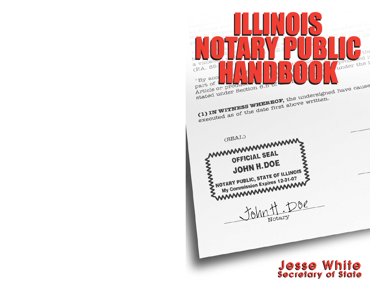**Jesse White Jesse White Secretary of State Secretary of State**

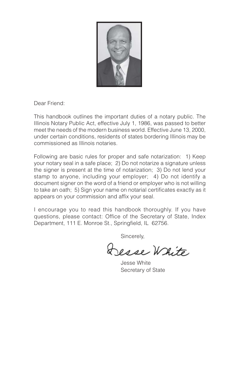

Dear Friend:

This handbook outlines the important duties of a notary public. The Illinois Notary Public Act, effective July 1, 1986, was passed to better meet the needs of the modern business world. Effective June 13, 2000, under certain conditions, residents of states bordering Illinois may be commissioned as Illinois notaries.

Following are basic rules for proper and safe notarization: 1) Keep your notary seal in a safe place; 2) Do not notarize a signature unless the signer is present at the time of notarization; 3) Do not lend your stamp to anyone, including your employer; 4) Do not identify a document signer on the word of a friend or employer who is not willing to take an oath; 5) Sign your name on notarial certificates exactly as it appears on your commission and affix your seal.

I encourage you to read this handbook thoroughly. If you have questions, please contact: Office of the Secretary of State, Index Department, 111 E. Monroe St., Springfield, IL 62756.

Sincerely,

esse White

Jesse White Secretary of State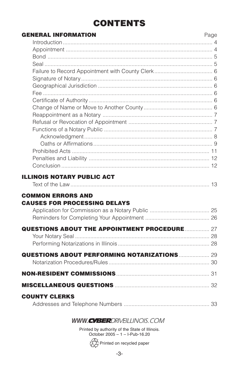# **CONTENTS**

| <b>GENERAL INFORMATION</b>                                      | Page |
|-----------------------------------------------------------------|------|
|                                                                 |      |
|                                                                 |      |
|                                                                 |      |
|                                                                 |      |
|                                                                 |      |
|                                                                 |      |
|                                                                 |      |
|                                                                 |      |
|                                                                 |      |
|                                                                 |      |
|                                                                 |      |
|                                                                 |      |
|                                                                 |      |
|                                                                 |      |
|                                                                 |      |
|                                                                 |      |
|                                                                 |      |
| <b>ILLINOIS NOTARY PUBLIC ACT</b>                               |      |
|                                                                 |      |
|                                                                 |      |
| <b>COMMON ERRORS AND</b><br><b>CAUSES FOR PROCESSING DELAYS</b> |      |
|                                                                 |      |
|                                                                 |      |
|                                                                 |      |
| <b>QUESTIONS ABOUT THE APPOINTMENT PROCEDURE  27</b>            |      |
|                                                                 |      |
|                                                                 |      |
| <b>QUESTIONS ABOUT PERFORMING NOTARIZATIONS  29</b>             |      |
|                                                                 |      |
|                                                                 |      |
|                                                                 |      |
|                                                                 |      |
| <b>COUNTY CLERKS</b>                                            |      |

# WWW.CYBERDRIVEILLINOIS.COM

Printed by authority of the State of Illinois.<br>October 2005 – 1 – I-Pub-16.20

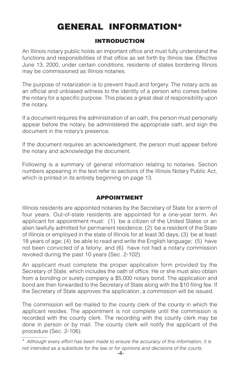# **INTRODUCTION**

An Illinois notary public holds an important office and must fully understand the functions and responsibilities of that office as set forth by Illinois law. Effective June 13, 2000, under certain conditions, residents of states bordering Illinois may be commissioned as Illinois notaries.

The purpose of notarization is to prevent fraud and forgery. The notary acts as an official and unbiased witness to the identity of a person who comes before the notary for a specific purpose. This places a great deal of responsibility upon the notary.

If a document requires the administration of an oath, the person must personally appear before the notary, be administered the appropriate oath, and sign the document in the notary's presence.

If the document requires an acknowledgment, the person must appear before the notary and acknowledge the document.

Following is a summary of general information relating to notaries. Section numbers appearing in the text refer to sections of the Illinois Notary Public Act, which is printed in its entirety beginning on page 13.

#### **APPOINTMENT**

Illinois residents are appointed notaries by the Secretary of State for a term of four years. Out-of-state residents are appointed for a one-year term. An applicant for appointment must: (1) be a citizen of the United States or an alien lawfully admitted for permanent residence; (2) be a resident of the State of Illinois or employed in the state of Illinois for at least 30 days; (3) be at least 18 years of age; (4) be able to read and write the English language; (5) have not been convicted of a felony; and (6) have not had a notary commission revoked during the past 10 years (Sec. 2-102).

An applicant must complete the proper application form provided by the Secretary of State, which includes the oath of office. He or she must also obtain from a bonding or surety company a \$5,000 notary bond. The application and bond are then forwarded to the Secretary of State along with the \$10 filing fee. If the Secretary of State approves the application, a commission will be issued.

The commission will be mailed to the county clerk of the county in which the applicant resides. The appointment is not complete until the commission is recorded with the county clerk. The recording with the county clerk may be done in person or by mail. The county clerk will notify the applicant of the procedure (Sec. 2-106). *\_\_\_\_\_\_\_\_\_\_*

<sup>\*</sup> Although every effort has been made to ensure the accuracy of this information, it is not intended as a substitute for the law or for opinions and decisions of the courts.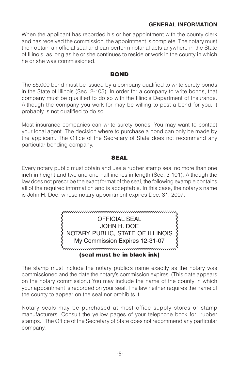When the applicant has recorded his or her appointment with the county clerk and has received the commission, the appointment is complete. The notary must then obtain an official seal and can perform notarial acts anywhere in the State of Illinois, as long as he or she continues to reside or work in the county in which he or she was commissioned.

#### **BOND**

The \$5,000 bond must be issued by a company qualified to write surety bonds in the State of Illinois (Sec. 2-105). In order for a company to write bonds, that company must be qualified to do so with the Illinois Department of Insurance. Although the company you work for may be willing to post a bond for you, it probably is not qualified to do so.

Most insurance companies can write surety bonds. You may want to contact your local agent. The decision where to purchase a bond can only be made by the applicant. The Office of the Secretary of State does not recommend any particular bonding company.

#### **SEAL**

Every notary public must obtain and use a rubber stamp seal no more than one inch in height and two and one-half inches in length (Sec. 3-101). Although the law does not prescribe the exact format of the seal, the following example contains all of the required information and is acceptable. In this case, the notary's name is John H. Doe, whose notary appointment expires Dec. 31, 2007.



The stamp must include the notary public's name exactly as the notary was commissioned and the date the notary's commission expires. (This date appears on the notary commission.) You may include the name of the county in which your appointment is recorded on your seal. The law neither requires the name of the county to appear on the seal nor prohibits it.

Notary seals may be purchased at most office supply stores or stamp manufacturers. Consult the yellow pages of your telephone book for "rubber stamps." The Office of the Secretary of State does not recommend any particular company.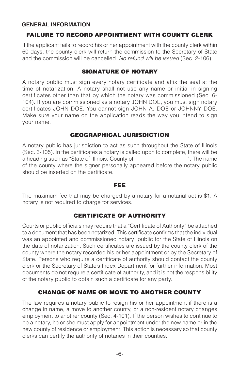# **FAILURE TO RECORD APPOINTMENT WITH COUNTY CLERK**

If the applicant fails to record his or her appointment with the county clerk within 60 days, the county clerk will return the commission to the Secretary of State and the commission will be cancelled. No refund will be issued (Sec. 2-106).

#### **SIGNATURE OF NOTARY**

A notary public must sign every notary certificate and affix the seal at the time of notarization. A notary shall not use any name or initial in signing certificates other than that by which the notary was commissioned (Sec. 6- 104). If you are commissioned as a notary JOHN DOE, you must sign notary certificates JOHN DOE. You cannot sign JOHN A. DOE or JOHNNY DOE. Make sure your name on the application reads the way you intend to sign your name.

#### **GEOGRAPHICAL JURISDICTION**

A notary public has jurisdiction to act as such throughout the State of Illinois (Sec. 3-105). In the certificates a notary is called upon to complete, there will be a heading such as "State of Illinois, County of \_\_\_\_\_\_\_\_\_\_\_\_\_\_\_\_\_\_\_". The name of the county where the signer personally appeared before the notary public should be inserted on the certificate.

#### **FEE**

The maximum fee that may be charged by a notary for a notarial act is \$1. A notary is not required to charge for services.

#### **CERTIFICATE OF AUTHORITY**

Courts or public officials may require that a "Certificate of Authority" be attached to a document that has been notarized. This certificate confirms that the individual was an appointed and commissioned notary public for the State of Illinois on the date of notarization. Such certificates are issued by the county clerk of the county where the notary recorded his or her appointment or by the Secretary of State. Persons who require a certificate of authority should contact the county clerk or the Secretary of State's Index Department for further information. Most documents do not require a certificate of authority, and it is not the responsibility of the notary public to obtain such a certificate for any party.

#### **CHANGE OF NAME OR MOVE TO ANOTHER COUNTY**

The law requires a notary public to resign his or her appointment if there is a change in name, a move to another county, or a non-resident notary changes employment to another county (Sec. 4-101). If the person wishes to continue to be a notary, he or she must apply for appointment under the new name or in the new county of residence or employment. This action is necessary so that county clerks can certify the authority of notaries in their counties.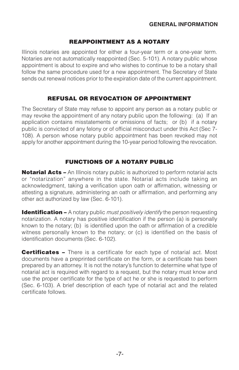# **REAPPOINTMENT AS A NOTARY**

Illinois notaries are appointed for either a four-year term or a one-year term. Notaries are not automatically reappointed (Sec. 5-101). A notary public whose appointment is about to expire and who wishes to continue to be a notary shall follow the same procedure used for a new appointment. The Secretary of State sends out renewal notices prior to the expiration date of the current appointment.

# **REFUSAL OR REVOCATION OF APPOINTMENT**

The Secretary of State may refuse to appoint any person as a notary public or may revoke the appointment of any notary public upon the following: (a) If an application contains misstatements or omissions of facts; or (b) if a notary public is convicted of any felony or of official misconduct under this Act (Sec 7- 108). A person whose notary public appointment has been revoked may not apply for another appointment during the 10-year period following the revocation.

# **FUNCTIONS OF A NOTARY PUBLIC**

**Notarial Acts –** An Illinois notary public is authorized to perform notarial acts or "notarization" anywhere in the state. Notarial acts include taking an acknowledgment, taking a verification upon oath or affirmation, witnessing or attesting a signature, administering an oath or affirmation, and performing any other act authorized by law (Sec. 6-101).

**Identification –** A notary public *must positively identify* the person requesting notarization. A notary has positive identification if the person (a) is personally known to the notary; (b) is identified upon the oath or affirmation of a credible witness personally known to the notary; or (c) is identified on the basis of identification documents (Sec. 6-102).

**Certificates –** There is a certificate for each type of notarial act. Most documents have a preprinted certificate on the form, or a certificate has been prepared by an attorney. It is not the notary's function to determine what type of notarial act is required with regard to a request, but the notary must know and use the proper certificate for the type of act he or she is requested to perform (Sec. 6-103). A brief description of each type of notarial act and the related certificate follows.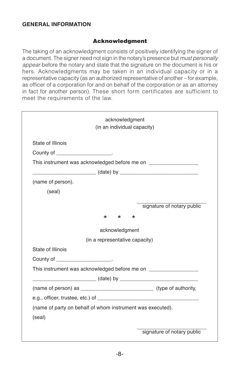#### **Acknowledgment**

The taking of an acknowledgment consists of positively identifying the signer of a document. The signer need not sign in the notary's presence but *must personally* appear before the notary and state that the signature on the document is his or hers. Acknowledgments may be taken in an individual capacity or in a representative capacity (as an authorized representative of another – for example, as officer of a corporation for and on behalf of the corporation or as an attorney in fact for another person). These short form certificates are sufficient to meet the requirements of the law.

|                                                                            |   |                |          | (in an individual capacity) |
|----------------------------------------------------------------------------|---|----------------|----------|-----------------------------|
| State of Illinois                                                          |   |                |          |                             |
| County of _____________________.                                           |   |                |          |                             |
| This instrument was acknowledged before me on                              |   |                |          |                             |
|                                                                            |   |                |          |                             |
| (name of person).                                                          |   |                |          |                             |
| (seal)                                                                     |   |                |          |                             |
|                                                                            |   |                |          | signature of notary public  |
|                                                                            | * | *              | $^\star$ |                             |
|                                                                            |   | acknowledgment |          |                             |
| (in a representative capacity)                                             |   |                |          |                             |
| State of Illinois                                                          |   |                |          |                             |
| County of _____________________.                                           |   |                |          |                             |
| This instrument was acknowledged before me on __________________           |   |                |          |                             |
|                                                                            |   |                |          |                             |
| (name of person) as __________________________________ (type of authority, |   |                |          |                             |
|                                                                            |   |                |          |                             |
| (name of party on behalf of whom instrument was executed).                 |   |                |          |                             |
| (seal)                                                                     |   |                |          |                             |
|                                                                            |   |                |          |                             |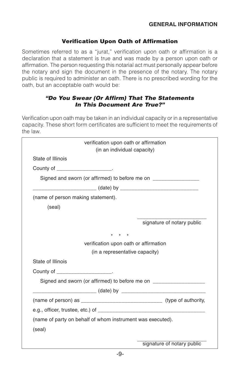# **Verification Upon Oath of Affirmation**

Sometimes referred to as a "jurat," verification upon oath or affirmation is a declaration that a statement is true and was made by a person upon oath or affirmation. The person requesting this notarial act must personally appear before the notary and sign the document in the presence of the notary. The notary public is required to administer an oath. There is no prescribed wording for the oath, but an acceptable oath would be:

#### **"Do You Swear (Or Affirm) That The Statements In This Document Are True?"**

Verification upon oath may be taken in an individual capacity or in a representative capacity. These short form certificates are sufficient to meet the requirements of the law.

| verification upon oath or affirmation<br>(in an individual capacity)             |                            |
|----------------------------------------------------------------------------------|----------------------------|
| State of Illinois                                                                |                            |
| County of _____________________.                                                 |                            |
| Signed and sworn (or affirmed) to before me on _________________________________ |                            |
|                                                                                  |                            |
| (name of person making statement).                                               |                            |
| (seal)                                                                           |                            |
|                                                                                  |                            |
|                                                                                  | signature of notary public |
|                                                                                  |                            |
| verification upon oath or affirmation                                            |                            |
| (in a representative capacity)                                                   |                            |
| State of Illinois                                                                |                            |
| County of _________________________                                              |                            |
| Signed and sworn (or affirmed) to before me on                                   |                            |
|                                                                                  |                            |
|                                                                                  |                            |
|                                                                                  |                            |
| (name of party on behalf of whom instrument was executed).                       |                            |
| (seal)                                                                           |                            |
|                                                                                  | signature of notary public |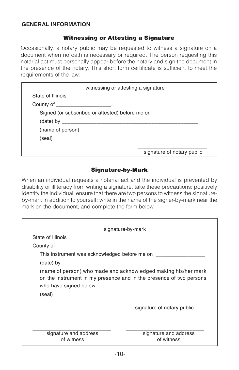#### **Witnessing or Attesting a Signature**

Occasionally, a notary public may be requested to witness a signature on a document when no oath is necessary or required. The person requesting this notarial act must personally appear before the notary and sign the document in the presence of the notary. This short form certificate is sufficient to meet the requirements of the law.

|                          | witnessing or attesting a signature             |
|--------------------------|-------------------------------------------------|
| State of Illinois        |                                                 |
| County of the country of |                                                 |
|                          | Signed (or subscribed or attested) before me on |
| (data) by                |                                                 |
| (name of person).        |                                                 |
| (seal)                   |                                                 |
|                          |                                                 |
|                          | signature of notary public                      |

### **Signature-by-Mark**

When an individual requests a notarial act and the individual is prevented by disability or illiteracy from writing a signature, take these precautions: positively identify the individual; ensure that there are two persons to witness the signatureby-mark in addition to yourself; write in the name of the signer-by-mark near the mark on the document, and complete the form below.

|                                                                    | signature-by-mark                                                                                                                     |
|--------------------------------------------------------------------|---------------------------------------------------------------------------------------------------------------------------------------|
| State of Illinois                                                  |                                                                                                                                       |
| County of the country of                                           |                                                                                                                                       |
| This instrument was acknowledged before me on _______<br>(date) by | the control of the control of the control of the control of                                                                           |
| who have signed below.                                             | (name of person) who made and acknowledged making his/her mark<br>on the instrument in my presence and in the presence of two persons |
| (seal)                                                             |                                                                                                                                       |
|                                                                    | signature of notary public                                                                                                            |
| signature and address                                              | signature and address                                                                                                                 |
| of witness                                                         | of witness                                                                                                                            |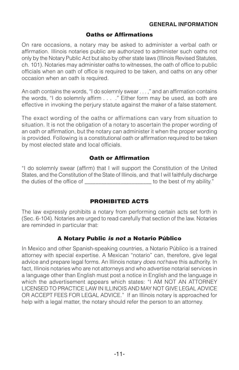#### **Oaths or Affirmations**

On rare occasions, a notary may be asked to administer a verbal oath or affirmation. Illinois notaries public are authorized to administer such oaths not only by the Notary Public Act but also by other state laws (Illinois Revised Statutes, ch. 101). Notaries may administer oaths to witnesses, the oath of office to public officials when an oath of office is required to be taken, and oaths on any other occasion when an oath is required.

An oath contains the words, "I do solemnly swear . . . ," and an affirmation contains the words, "I do solemnly affirm . . . ." Either form may be used, as both are effective in invoking the perjury statute against the maker of a false statement.

The exact wording of the oaths or affirmations can vary from situation to situation. It is not the obligation of a notary to ascertain the proper wording of an oath or affirmation, but the notary can administer it when the proper wording is provided. Following is a constitutional oath or affirmation required to be taken by most elected state and local officials.

### **Oath or Affirmation**

"I do solemnly swear (affirm) that I will support the Constitution of the United States, and the Constitution of the State of Illinois, and that I will faithfully discharge the duties of the office of \_\_\_\_\_\_\_\_\_\_\_\_\_\_\_\_\_\_\_\_\_\_\_\_ to the best of my ability."

#### **PROHIBITED ACTS**

The law expressly prohibits a notary from performing certain acts set forth in (Sec. 6-104). Notaries are urged to read carefully that section of the law. Notaries are reminded in particular that:

#### **A Notary Public is not a Notario Público**

In Mexico and other Spanish-speaking countries, a Notario Público is a trained attorney with special expertise. A Mexican "notario" can, therefore, give legal advice and prepare legal forms. An Illinois notary *does not* have this authority. In fact, Illinois notaries who are not attorneys and who advertise notarial services in a language other than English must post a notice in English and the language in which the advertisement appears which states: "I AM NOT AN ATTORNEY LICENSED TO PRACTICE LAW IN ILLINOIS AND MAY NOT GIVE LEGAL ADVICE OR ACCEPT FEES FOR LEGAL ADVICE." If an Illinois notary is approached for help with a legal matter, the notary should refer the person to an attorney.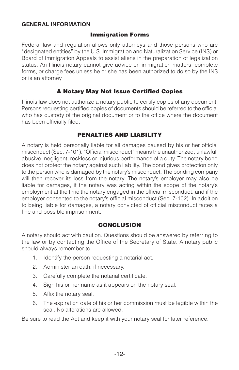#### **Immigration Forms**

Federal law and regulation allows only attorneys and those persons who are "designated entities" by the U.S. Immigration and Naturalization Service (INS) or Board of Immigration Appeals to assist aliens in the preparation of legalization status. An Illinois notary cannot give advice on immigration matters, complete forms, or charge fees unless he or she has been authorized to do so by the INS or is an attorney.

# **A Notary May Not Issue Certified Copies**

Illinois law does not authorize a notary public to certify copies of any document. Persons requesting certified copies of documents should be referred to the official who has custody of the original document or to the office where the document has been officially filed.

### **PENALTIES AND LIABILITY**

A notary is held personally liable for all damages caused by his or her official misconduct (Sec. 7-101). "Official misconduct" means the unauthorized, unlawful, abusive, negligent, reckless or injurious performance of a duty. The notary bond does not protect the notary against such liability. The bond gives protection only to the person who is damaged by the notary's misconduct. The bonding company will then recover its loss from the notary. The notary's employer may also be liable for damages, if the notary was acting within the scope of the notary's employment at the time the notary engaged in the official misconduct, and if the employer consented to the notary's official misconduct (Sec. 7-102). In addition to being liable for damages, a notary convicted of official misconduct faces a fine and possible imprisonment.

#### **CONCLUSION**

A notary should act with caution. Questions should be answered by referring to the law or by contacting the Office of the Secretary of State. A notary public should always remember to:

- 1. Identify the person requesting a notarial act.
- 2. Administer an oath, if necessary.
- 3. Carefully complete the notarial certificate.
- 4. Sign his or her name as it appears on the notary seal.
- 5. Affix the notary seal.

.

6. The expiration date of his or her commission must be legible within the seal. No alterations are allowed.

Be sure to read the Act and keep it with your notary seal for later reference.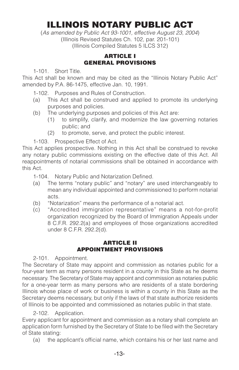(As amended by Public Act 93-1001, effective August 23, 2004) (Illinois Revised Statutes Ch. 102, par. 201-101) (Illinois Compiled Statutes 5 ILCS 312)

### **ARTICLE I GENERAL PROVISIONS**

1-101. Short Title.

This Act shall be known and may be cited as the "Illinois Notary Public Act" amended by P.A. 86-1475, effective Jan. 10, 1991.

1-102. Purposes and Rules of Construction.

- (a) This Act shall be construed and applied to promote its underlying purposes and policies.
- (b) The underlying purposes and policies of this Act are:
	- (1) to simplify, clarify, and modernize the law governing notaries public; and
	- (2) to promote, serve, and protect the public interest.

1-103. Prospective Effect of Act.

This Act applies prospective. Nothing in this Act shall be construed to revoke any notary public commissions existing on the effective date of this Act. All reappointments of notarial commissions shall be obtained in accordance with this Act.

1-104. Notary Public and Notarization Defined.

- (a) The terms "notary public" and "notary" are used interchangeably to mean any individual appointed and commissioned to perform notarial acts.
- (b) "Notarization" means the performance of a notarial act.
- (c) "Accredited immigration representative" means a not-for-profit organization recognized by the Board of Immigration Appeals under 8 C.F.R. 292.2(a) and employees of those organizations accredited under 8 C.F.R. 292.2(d).

# **ARTICLE II APPOINTMENT PROVISIONS**

2-101. Appointment.

The Secretary of State may appoint and commission as notaries public for a four-year term as many persons resident in a county in this State as he deems necessary. The Secretary of State may appoint and commission as notaries public for a one-year term as many persons who are residents of a state bordering Illinois whose place of work or business is within a county in this State as the Secretary deems necessary, but only if the laws of that state authorize residents of Illinois to be appointed and commissioned as notaries public in that state.

2-102. Application.

Every applicant for appointment and commission as a notary shall complete an application form furnished by the Secretary of State to be filed with the Secretary of State stating:

(a) the applicant's official name, which contains his or her last name and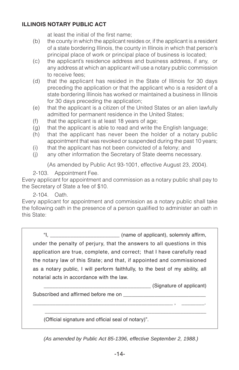at least the initial of the first name;

- (b) the county in which the applicant resides or, if the applicant is a resident of a state bordering Illinois, the county in Illinois in which that person's principal place of work or principal place of business is located;
- (c) the applicant's residence address and business address, if any, or any address at which an applicant will use a notary public commission to receive fees;
- (d) that the applicant has resided in the State of Illinois for 30 days preceding the application or that the applicant who is a resident of a state bordering Illinois has worked or maintained a business in Illinois for 30 days preceding the application;
- (e) that the applicant is a citizen of the United States or an alien lawfully admitted for permanent residence in the United States;
- (f) that the applicant is at least 18 years of age;
- (g) that the applicant is able to read and write the English language;
- (h) that the applicant has never been the holder of a notary public appointment that was revoked or suspended during the past 10 years;
- (i) that the applicant has not been convicted of a felony; and
- (j) any other information the Secretary of State deems necessary.

(As amended by Public Act 93-1001, effective August 23, 2004).

2-103. Appointment Fee.

Every applicant for appointment and commission as a notary public shall pay to the Secretary of State a fee of \$10.

#### 2-104. Oath.

Every applicant for appointment and commission as a notary public shall take the following oath in the presence of a person qualified to administer an oath in this State:

"I, \_\_\_\_\_\_\_\_\_\_\_\_\_\_\_\_\_\_\_\_\_\_\_\_ (name of applicant), solemnly affirm,

under the penalty of perjury, that the answers to all questions in this application are true, complete, and correct; that I have carefully read the notary law of this State; and that, if appointed and commissioned as a notary public, I will perform faithfully, to the best of my ability, all notarial acts in accordance with the law.

\_\_\_\_\_\_\_\_\_\_\_\_\_\_\_\_\_\_\_\_\_\_\_\_\_\_\_\_\_\_\_\_\_\_\_\_\_\_\_\_\_\_\_\_\_\_\_\_\_ , \_\_\_\_\_\_\_\_. \_\_\_\_\_\_\_\_\_\_\_\_\_\_\_\_\_\_\_\_\_\_\_\_\_\_\_\_\_\_\_\_\_\_\_\_\_\_\_\_\_\_\_\_\_\_\_\_\_\_\_\_\_\_\_\_

\_\_\_\_\_\_\_\_\_\_\_\_\_\_\_\_\_\_\_\_\_\_\_\_\_\_\_\_\_\_\_\_\_\_\_\_\_ (Signature of applicant)

Subscribed and affirmed before me on

(Official signature and official seal of notary)".

*(As amended by Public Act 85-1396, effective September 2, 1988.)*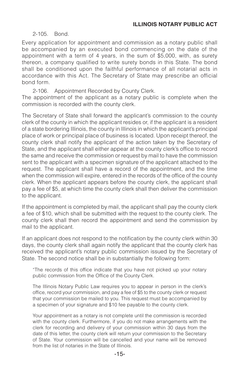#### 2-105. Bond.

Every application for appointment and commission as a notary public shall be accompanied by an executed bond commencing on the date of the appointment with a term of 4 years, in the sum of \$5,000, with, as surety thereon, a company qualified to write surety bonds in this State. The bond shall be conditioned upon the faithful performance of all notarial acts in accordance with this Act. The Secretary of State may prescribe an official bond form.

2-106. Appointment Recorded by County Clerk.

The appointment of the applicant as a notary public is complete when the commission is recorded with the county clerk.

The Secretary of State shall forward the applicant's commission to the county clerk of the county in which the applicant resides or, if the applicant is a resident of a state bordering Illinois, the county in Illinois in which the applicant's principal place of work or principal place of business is located. Upon receipt thereof, the county clerk shall notify the applicant of the action taken by the Secretary of State, and the applicant shall either appear at the county clerk's office to record the same and receive the commission or request by mail to have the commission sent to the applicant with a specimen signature of the applicant attached to the request. The applicant shall have a record of the appointment, and the time when the commission will expire, entered in the records of the office of the county clerk. When the applicant appears before the county clerk, the applicant shall pay a fee of \$5, at which time the county clerk shall then deliver the commission to the applicant.

If the appointment is completed by mail, the applicant shall pay the county clerk a fee of \$10, which shall be submitted with the request to the county clerk. The county clerk shall then record the appointment and send the commission by mail to the applicant.

If an applicant does not respond to the notification by the county clerk within 30 days, the county clerk shall again notify the applicant that the county clerk has received the applicant's notary public commission issued by the Secretary of State. The second notice shall be in substantially the following form:

"The records of this office indicate that you have not picked up your notary public commission from the Office of the County Clerk.

The Illinois Notary Public Law requires you to appear in person in the clerk's office, record your commission, and pay a fee of \$5 to the county clerk or request that your commission be mailed to you. This request must be accompanied by a specimen of your signature and \$10 fee payable to the county clerk.

Your appointment as a notary is not complete until the commission is recorded with the county clerk. Furthermore, if you do not make arrangements with the clerk for recording and delivery of your commission within 30 days from the date of this letter, the county clerk will return your commission to the Secretary of State. Your commission will be cancelled and your name will be removed from the list of notaries in the State of Illinois.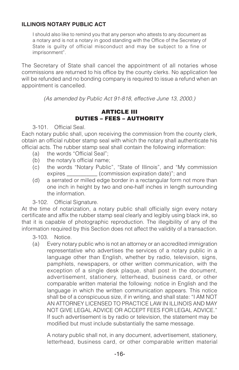I should also like to remind you that any person who attests to any document as a notary and is not a notary in good standing with the Office of the Secretary of State is guilty of official misconduct and may be subject to a fine or imprisonment".

The Secretary of State shall cancel the appointment of all notaries whose commissions are returned to his office by the county clerks. No application fee will be refunded and no bonding company is required to issue a refund when an appointment is cancelled.

(As amended by Public Act 91-818, effective June 13, 2000.)

#### **ARTICLE III DUTIES – FEES – AUTHORITY**

3-101. Official Seal.

Each notary public shall, upon receiving the commission from the county clerk, obtain an official rubber stamp seal with which the notary shall authenticate his official acts. The rubber stamp seal shall contain the following information:

- (a) the words "Official Seal";
- (b) the notary's official name;
- (c) the words "Notary Public", "State of Illinois", and "My commission expires \_\_\_\_\_\_\_\_\_\_\_ (commission expiration date)"; and
- (d) a serrated or milled edge border in a rectangular form not more than one inch in height by two and one-half inches in length surrounding the information.
- 3-102. Official Signature.

At the time of notarization, a notary public shall officially sign every notary certificate and affix the rubber stamp seal clearly and legibly using black ink, so that it is capable of photographic reproduction. The illegibility of any of the information required by this Section does not affect the validity of a transaction.

- 3-103. Notice.
- (a) Every notary public who is not an attorney or an accredited immigration representative who advertises the services of a notary public in a language other than English, whether by radio, television, signs, pamphlets, newspapers, or other written communication, with the exception of a single desk plaque, shall post in the document, advertisement, stationery, letterhead, business card, or other comparable written material the following: notice in English and the language in which the written communication appears. This notice shall be of a conspicuous size, if in writing, and shall state: "I AM NOT AN ATTORNEY LICENSED TO PRACTICE LAW IN ILLINOIS AND MAY NOT GIVE LEGAL ADVICE OR ACCEPT FEES FOR LEGAL ADVICE." If such advertisement is by radio or television, the statement may be modified but must include substantially the same message.

A notary public shall not, in any document, advertisement, stationery, letterhead, business card, or other comparable written material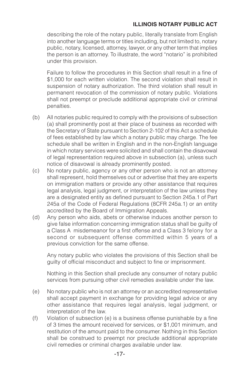describing the role of the notary public, literally translate from English into another language terms or titles including, but not limited to, notary public, notary, licensed, attorney, lawyer, or any other term that implies the person is an attorney. To illustrate, the word "notario" is prohibited under this provision.

Failure to follow the procedures in this Section shall result in a fine of \$1,000 for each written violation. The second violation shall result in suspension of notary authorization. The third violation shall result in permanent revocation of the commission of notary public. Violations shall not preempt or preclude additional appropriate civil or criminal penalties.

- (b) All notaries public required to comply with the provisions of subsection (a) shall prominently post at their place of business as recorded with the Secretary of State pursuant to Section 2-102 of this Act a schedule of fees established by law which a notary public may charge. The fee schedule shall be written in English and in the non-English language in which notary services were solicited and shall contain the disavowal of legal representation required above in subsection (a), unless such notice of disavowal is already prominently posted.
- (c) No notary public, agency or any other person who is not an attorney shall represent, hold themselves out or advertise that they are experts on immigration matters or provide any other assistance that requires legal analysis, legal judgment, or interpretation of the law unless they are a designated entity as defined pursuant to Section 245a.1 of Part 245a of the Code of Federal Regulations (8CFR 245a.1) or an entity accredited by the Board of Immigration Appeals.
- (d) Any person who aids, abets or otherwise induces another person to give false information concerning immigration status shall be guilty of a Class A misdemeanor for a first offense and a Class 3 felony for a second or subsequent offense committed within 5 years of a previous conviction for the same offense.

Any notary public who violates the provisions of this Section shall be guilty of official misconduct and subject to fine or imprisonment.

Nothing in this Section shall preclude any consumer of notary public services from pursuing other civil remedies available under the law.

- (e) No notary public who is not an attorney or an accredited representative shall accept payment in exchange for providing legal advice or any other assistance that requires legal analysis, legal judgment, or interpretation of the law.
- (f) Violation of subsection (e) is a business offense punishable by a fine of 3 times the amount received for services, or \$1,001 minimum, and restitution of the amount paid to the consumer. Nothing in this Section shall be construed to preempt nor preclude additional appropriate civil remedies or criminal charges available under law.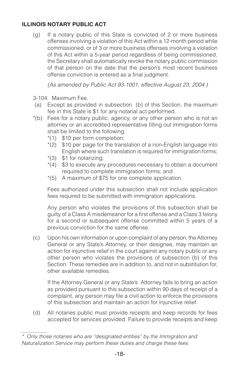(g) If a notary public of this State is convicted of 2 or more business offenses involving a violation of this Act within a 12-month period while commissioned, or of 3 or more business offenses involving a violation of this Act within a 5-year period regardless of being commissioned, the Secretary shall automatically revoke the notary public commission of that person on the date that the person's most recent business offense conviction is entered as a final judgment.

(As amended by Public Act 93-1001, effective August 23, 2004.)

- 3-104. Maximum Fee.
- (a) Except as provided in subsection (b) of this Section, the maximum fee in this State is \$1 for any notarial act performed.
- \*(b) Fees for a notary public, agency, or any other person who is not an attorney or an accredited representative filling out immigration forms shall be limited to the following:
	- \*(1) \$10 per form completion;
	- \*(2) \$10 per page for the translation of a non-English language into English where such translation is required for immigration forms;
	- \*(3) \$1 for notarizing;
	- \*(4) \$3 to execute any procedures necessary to obtain a document required to complete immigration forms; and
	- \*(5) A maximum of \$75 for one complete application.

Fees authorized under this subsection shall not include application fees required to be submitted with immigration applications.

Any person who violates the provisions of this subsection shall be guilty of a Class A misdemeanor for a first offense and a Class 3 felony for a second or subsequent offense committed within 5 years of a previous conviction for the same offense.

(c) Upon his own information or upon complaint of any person, the Attorney General or any State's Attorney, or their designee, may maintain an action for injunctive relief in the court against any notary public or any other person who violates the provisions of subsection (b) of this Section. These remedies are in addition to, and not in substitution for, other available remedies.

If the Attorney General or any State's Attorney fails to bring an action as provided pursuant to this subsection within 90 days of receipt of a complaint, any person may file a civil action to enforce the provisions of this subsection and maintain an action for injunctive relief.

(d) All notaries public must provide receipts and keep records for fees accepted for services provided. Failure to provide receipts and keep

*\_\_\_\_\_\_\_\_\_\_* \* Only those notaries who are "designated entities" by the Immigration and Naturalization Service may perform these duties and charge these fees.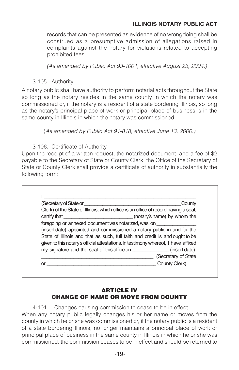records that can be presented as evidence of no wrongdoing shall be construed as a presumptive admission of allegations raised in complaints against the notary for violations related to accepting prohibited fees.

(As amended by Public Act 93-1001, effective August 23, 2004.)

#### 3-105. Authority.

A notary public shall have authority to perform notarial acts throughout the State so long as the notary resides in the same county in which the notary was commissioned or, if the notary is a resident of a state bordering Illinois, so long as the notary's principal place of work or principal place of business is in the same county in Illinois in which the notary was commissioned.

(As amended by Public Act 91-818, effective June 13, 2000.)

3-106. Certificate of Authority.

Upon the receipt of a written request, the notarized document, and a fee of \$2 payable to the Secretary of State or County Clerk, the Office of the Secretary of State or County Clerk shall provide a certificate of authority in substantially the following form:

| (Secretary of State or contract to a state of state or contract of $\sim$ | County                                                                              |
|---------------------------------------------------------------------------|-------------------------------------------------------------------------------------|
|                                                                           | Clerk) of the State of Illinois, which office is an office of record having a seal, |
|                                                                           | certify that (notary's name) by whom the                                            |
| foregoing or annexed document was notarized, was, on                      |                                                                                     |
|                                                                           | (insert date), appointed and commissioned a notary public in and for the            |
|                                                                           | State of Illinois and that as such, full faith and credit is and ought to be        |
|                                                                           | given to this notary's official attestations. In testimony whereof, I have affixed  |
| my signature and the seal of this office on                               | (insert date).                                                                      |
|                                                                           | (Secretary of State                                                                 |
| or                                                                        | County Clerk).                                                                      |

#### **ARTICLE IV CHANGE OF NAME OR MOVE FROM COUNTY**

4-101. Changes causing commission to cease to be in effect.

When any notary public legally changes his or her name or moves from the county in which he or she was commissioned or, if the notary public is a resident of a state bordering Illinois, no longer maintains a principal place of work or principal place of business in the same county in Illinois in which he or she was commissioned, the commission ceases to be in effect and should be returned to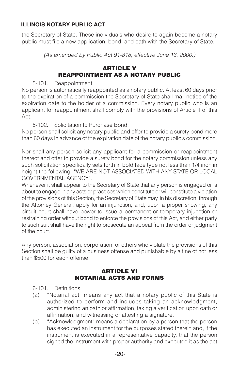the Secretary of State. These individuals who desire to again become a notary public must file a new application, bond, and oath with the Secretary of State.

(As amended by Public Act 91-818, effective June 13, 2000.)

#### **ARTICLE V REAPPOINTMENT AS A NOTARY PUBLIC**

5-101. Reappointment.

No person is automatically reappointed as a notary public. At least 60 days prior to the expiration of a commission the Secretary of State shall mail notice of the expiration date to the holder of a commission. Every notary public who is an applicant for reappointment shall comply with the provisions of Article II of this Act.

5-102. Solicitation to Purchase Bond.

No person shall solicit any notary public and offer to provide a surety bond more than 60 days in advance of the expiration date of the notary public's commission.

Nor shall any person solicit any applicant for a commission or reappointment thereof and offer to provide a surety bond for the notary commission unless any such solicitation specifically sets forth in bold face type not less than 1/4 inch in height the following: "WE ARE NOT ASSOCIATED WITH ANY STATE OR LOCAL GOVERNMENTAL AGENCY".

Whenever it shall appear to the Secretary of State that any person is engaged or is about to engage in any acts or practices which constitute or will constitute a violation of the provisions of this Section, the Secretary of State may, in his discretion, through the Attorney General, apply for an injunction, and, upon a proper showing, any circuit court shall have power to issue a permanent or temporary injunction or restraining order without bond to enforce the provisions of this Act, and either party to such suit shall have the right to prosecute an appeal from the order or judgment of the court.

Any person, association, corporation, or others who violate the provisions of this Section shall be guilty of a business offense and punishable by a fine of not less than \$500 for each offense.

### **ARTICLE VI NOTARIAL ACTS AND FORMS**

6-101. Definitions.

- (a) "Notarial act" means any act that a notary public of this State is authorized to perform and includes taking an acknowledgment, administering an oath or affirmation, taking a verification upon oath or affirmation, and witnessing or attesting a signature.
- (b) "Acknowledgment" means a declaration by a person that the person has executed an instrument for the purposes stated therein and, if the instrument is executed in a representative capacity, that the person signed the instrument with proper authority and executed it as the act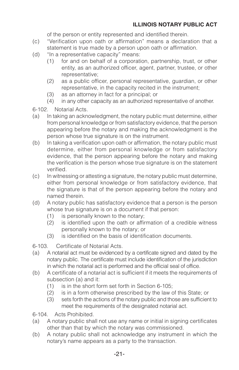of the person or entity represented and identified therein.

- (c) "Verification upon oath or affirmation" means a declaration that a statement is true made by a person upon oath or affirmation.
- (d) "In a representative capacity" means:
	- (1) for and on behalf of a corporation, partnership, trust, or other entity, as an authorized officer, agent, partner, trustee, or other representative;
	- (2) as a public officer, personal representative, guardian, or other representative, in the capacity recited in the instrument;
	- (3) as an attorney in fact for a principal; or
	- (4) in any other capacity as an authorized representative of another.

6-102. Notarial Acts.

- (a) In taking an acknowledgment, the notary public must determine, either from personal knowledge or from satisfactory evidence, that the person appearing before the notary and making the acknowledgment is the person whose true signature is on the instrument.
- (b) In taking a verification upon oath or affirmation, the notary public must determine, either from personal knowledge or from satisfactory evidence, that the person appearing before the notary and making the verification is the person whose true signature is on the statement verified.
- (c) In witnessing or attesting a signature, the notary public must determine, either from personal knowledge or from satisfactory evidence, that the signature is that of the person appearing before the notary and named therein.
- (d) A notary public has satisfactory evidence that a person is the person whose true signature is on a document if that person:
	- (1) is personally known to the notary;
	- (2) is identified upon the oath or affirmation of a credible witness personally known to the notary; or
	- (3) is identified on the basis of identification documents.

6-103. Certificate of Notarial Acts.

- (a) A notarial act must be evidenced by a certificate signed and dated by the notary public. The certificate must include identification of the jurisdiction in which the notarial act is performed and the official seal of office.
- (b) A certificate of a notarial act is sufficient if it meets the requirements of subsection (a) and it:
	- (1) is in the short form set forth in Section 6-105;
	- (2) is in a form otherwise prescribed by the law of this State; or
	- (3) sets forth the actions of the notary public and those are sufficient to meet the requirements of the designated notarial act.
- 6-104. Acts Prohibited.
- (a) A notary public shall not use any name or initial in signing certificates other than that by which the notary was commissioned.
- (b) A notary public shall not acknowledge any instrument in which the notary's name appears as a party to the transaction.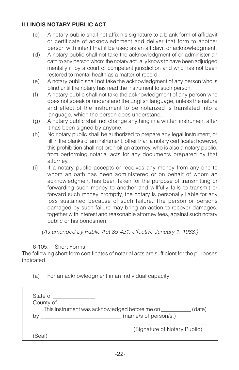- (c) A notary public shall not affix his signature to a blank form of affidavit or certificate of acknowledgment and deliver that form to another person with intent that it be used as an affidavit or acknowledgment.
- (d) A notary public shall not take the acknowledgment of or administer an oath to any person whom the notary actually knows to have been adjudged mentally ill by a court of competent jurisdiction and who has not been restored to mental health as a matter of record.
- (e) A notary public shall not take the acknowledgment of any person who is blind until the notary has read the instrument to such person.
- (f) A notary public shall not take the acknowledgment of any person who does not speak or understand the English language, unless the nature and effect of the instrument to be notarized is translated into a language, which the person does understand.
- (g) A notary public shall not change anything in a written instrument after it has been signed by anyone.
- (h) No notary public shall be authorized to prepare any legal instrument, or fill in the blanks of an instrument, other than a notary certificate; however, this prohibition shall not prohibit an attorney, who is also a notary public, from performing notarial acts for any documents prepared by that attorney.
- (i) If a notary public accepts or receives any money from any one to whom an oath has been administered or on behalf of whom an acknowledgment has been taken for the purpose of transmitting or forwarding such money to another and willfully fails to transmit or forward such money promptly, the notary is personally liable for any loss sustained because of such failure. The person or persons damaged by such failure may bring an action to recover damages, together with interest and reasonable attorney fees, against such notary public or his bondsmen.

(As amended by Public Act 85-421, effective January 1, 1988.)

6-105. Short Forms.

The following short form certificates of notarial acts are sufficient for the purposes indicated.

(a) For an acknowledgment in an individual capacity:

| State of the state of the state of the state of the state of the state of the state of the state of the state o |                                                                |
|-----------------------------------------------------------------------------------------------------------------|----------------------------------------------------------------|
| County of _                                                                                                     | This instrument was acknowledged before me on ______<br>(date) |
|                                                                                                                 | (name/s of person/s.)                                          |
|                                                                                                                 |                                                                |
|                                                                                                                 | (Signature of Notary Public)                                   |
| 'Seal'                                                                                                          |                                                                |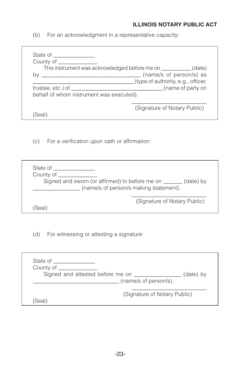(b) For an acknowledgment in a representative capacity:

| County of _____                          |                                                                 |
|------------------------------------------|-----------------------------------------------------------------|
|                                          | This instrument was acknowledged before me on ___________(date) |
| b٧                                       | (name/s of person/s) as                                         |
|                                          | (type of authority, e.g., officer,                              |
|                                          | trustee, etc.) of (name of party on                             |
| behalf of whom instrument was executed). |                                                                 |
|                                          | (Signature of Notary Public)                                    |
| Seal                                     |                                                                 |

(c) For a verification upon oath or affirmation:

| State of<br>County of |                                                                                                    |
|-----------------------|----------------------------------------------------------------------------------------------------|
|                       | Signed and sworn (or affirmed) to before me on (date) by<br>(name/s of person/s making statement). |
| 'Seal)                | (Signature of Notary Public)                                                                       |

(d) For witnessing or attesting a signature:

| State of <b>State</b><br>County of ________   |  |
|-----------------------------------------------|--|
| Signed and attested before me on<br>(date) by |  |
| (name/s of person/s).                         |  |
|                                               |  |
| (Signature of Notary Public)                  |  |
| (Seal)                                        |  |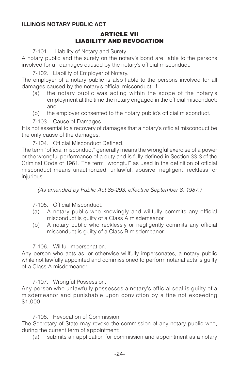# **ARTICLE VII LIABILITY AND REVOCATION**

7-101. Liability of Notary and Surety.

A notary public and the surety on the notary's bond are liable to the persons involved for all damages caused by the notary's official misconduct.

7-102. Liability of Employer of Notary.

The employer of a notary public is also liable to the persons involved for all damages caused by the notary's official misconduct, if:

- (a) the notary public was acting within the scope of the notary's employment at the time the notary engaged in the official misconduct; and
- (b) the employer consented to the notary public's official misconduct.
- 7-103. Cause of Damages.

It is not essential to a recovery of damages that a notary's official misconduct be the only cause of the damages.

7-104. Official Misconduct Defined.

The term "official misconduct" generally means the wrongful exercise of a power or the wrongful performance of a duty and is fully defined in Section 33-3 of the Criminal Code of 1961. The term "wrongful" as used in the definition of official misconduct means unauthorized, unlawful, abusive, negligent, reckless, or injurious.

(As amended by Public Act 85-293, effective September 8, 1987.)

7-105. Official Misconduct.

- (a) A notary public who knowingly and willfully commits any official misconduct is guilty of a Class A misdemeanor.
- (b) A notary public who recklessly or negligently commits any official misconduct is guilty of a Class B misdemeanor.

7-106. Willful Impersonation.

Any person who acts as, or otherwise willfully impersonates, a notary public while not lawfully appointed and commissioned to perform notarial acts is guilty of a Class A misdemeanor.

7-107. Wrongful Possession.

Any person who unlawfully possesses a notary's official seal is guilty of a misdemeanor and punishable upon conviction by a fine not exceeding \$1,000.

7-108. Revocation of Commission.

The Secretary of State may revoke the commission of any notary public who, during the current term of appointment:

(a) submits an application for commission and appointment as a notary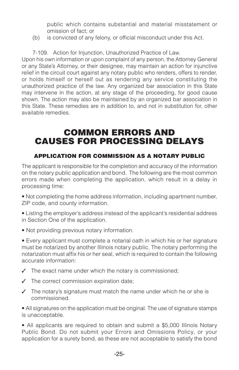public which contains substantial and material misstatement or omission of fact; or

(b) is convicted of any felony, or official misconduct under this Act.

7-109. Action for Injunction, Unauthorized Practice of Law.

Upon his own information or upon complaint of any person, the Attorney General or any State's Attorney, or their designee, may maintain an action for injunctive relief in the circuit court against any notary public who renders, offers to render, or holds himself or herself out as rendering any service constituting the unauthorized practice of the law. Any organized bar association in this State may intervene in the action, at any stage of the proceeding, for good cause shown. The action may also be maintained by an organized bar association in this State. These remedies are in addition to, and not in substitution for, other available remedies.

# **COMMON ERRORS AND CAUSES FOR PROCESSING DELAYS**

# **APPLICATION FOR COMMISSION AS A NOTARY PUBLIC**

The applicant is responsible for the completion and accuracy of the information on the notary public application and bond. The following are the most common errors made when completing the application, which result in a delay in processing time:

• Not completing the home address information, including apartment number, ZIP code, and county information.

- Listing the employer's address instead of the applicant's residential address in Section One of the application.
- Not providing previous notary information.

• Every applicant must complete a notarial oath in which his or her signature must be notarized by another Illinois notary public. The notary performing the notarization must affix his or her seal, which is required to contain the following accurate information:

- ✓ The exact name under which the notary is commissioned;
- ✓ The correct commission expiration date;
- ✓ The notary's signature must match the name under which he or she is commissioned.

• All signatures on the application must be original. The use of signature stamps is unacceptable.

• All applicants are required to obtain and submit a \$5,000 Illinois Notary Public Bond. Do not submit your Errors and Omissions Policy, or your application for a surety bond, as these are not acceptable to satisfy the bond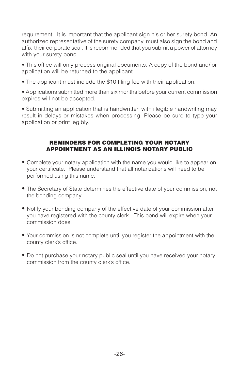requirement. It is important that the applicant sign his or her surety bond. An authorized representative of the surety company must also sign the bond and affix their corporate seal. It is recommended that you submit a power of attorney with your surety bond.

- This office will only process original documents. A copy of the bond and/ or application will be returned to the applicant.
- The applicant must include the \$10 filing fee with their application.
- Applications submitted more than six months before your current commission expires will not be accepted.

• Submitting an application that is handwritten with illegible handwriting may result in delays or mistakes when processing. Please be sure to type your application or print legibly.

#### **REMINDERS FOR COMPLETING YOUR NOTARY APPOINTMENT AS AN ILLINOIS NOTARY PUBLIC**

- **•** Complete your notary application with the name you would like to appear on your certificate. Please understand that all notarizations will need to be performed using this name.
- **•** The Secretary of State determines the effective date of your commission, not the bonding company.
- **•** Notify your bonding company of the effective date of your commission after you have registered with the county clerk. This bond will expire when your commission does.
- **•** Your commission is not complete until you register the appointment with the county clerk's office.
- **•** Do not purchase your notary public seal until you have received your notary commission from the county clerk's office.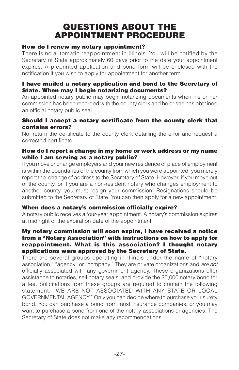# **QUESTIONS ABOUT THE APPOINTMENT PROCEDURE**

### **How do I renew my notary appointment?**

There is no automatic reappointment in Illinois. You will be notified by the Secretary of State approximately 60 days prior to the date your appointment expires. A preprinted application and bond form will be enclosed with the notification if you wish to apply for appointment for another term.

### **I have mailed a notary application and bond to the Secretary of State. When may I begin notarizing documents?**

An appointed notary public may begin notarizing documents when his or her commission has been recorded with the county clerk and he or she has obtained an official notary public seal.

#### **Should I accept a notary certificate from the county clerk that contains errors?**

No, return the certificate to the county clerk detailing the error and request a corrected certificate.

#### **How do I report a change in my home or work address or my name while I am serving as a notary public?**

If you move or change employers and your new residence or place of employment is within the boundaries of the county from which you were appointed, you merely report the change of address to the Secretary of State. However, if you move out of the county, or if you are a non-resident notary who changes employment to another county, you must resign your commission. Resignations should be submitted to the Secretary of State. You can then apply for a new appointment.

#### **When does a notary's commission officially expire?**

A notary public receives a four-year appointment. A notary's commission expires at midnight of the expiration date of the appointment.

#### **My notary commission will soon expire, I have received a notice from a "Notary Association" with instructions on how to apply for reappointment. What is this association? I thought notary applications were approved by the Secretary of State.**

There are several groups operating in Illinois under the name of "notary association," "agency" or "company." They are private organizations and *are not* officially associated with any government agency. These organizations offer assistance to notaries, sell notary seals, and provide the \$5,000 notary bond for a fee. Solicitations from these groups are required to contain the following statement: "WE ARE NOT ASSOCIATED WITH ANY STATE OR LOCAL GOVERNMENTAL AGENCY." Only you can decide where to purchase your surety bond. You can purchase a bond from most insurance companies, or you may want to purchase a bond from one of the notary associations or agencies. The Secretary of State does not make any recommendations.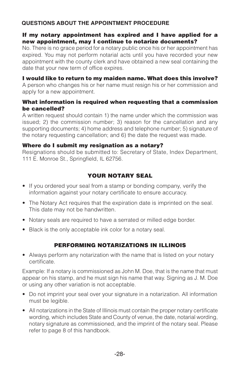### **QUESTIONS ABOUT THE APPOINTMENT PROCEDURE**

### **If my notary appointment has expired and I have applied for a new appointment, may I continue to notarize documents?**

No. There is no grace period for a notary public once his or her appointment has expired. You may not perform notarial acts until you have recorded your new appointment with the county clerk and have obtained a new seal containing the date that your new term of office expires.

### **I would like to return to my maiden name. What does this involve?**

A person who changes his or her name must resign his or her commission and apply for a new appointment.

#### **What information is required when requesting that a commission be cancelled?**

A written request should contain 1) the name under which the commission was issued; 2) the commission number; 3) reason for the cancellation and any supporting documents; 4) home address and telephone number; 5) signature of the notary requesting cancellation; and 6) the date the request was made.

#### **Where do I submit my resignation as a notary?**

Resignations should be submitted to: Secretary of State, Index Department, 111 E. Monroe St., Springfield, IL 62756.

# **YOUR NOTARY SEAL**

- If you ordered your seal from a stamp or bonding company, verify the information against your notary certificate to ensure accuracy.
- The Notary Act requires that the expiration date is imprinted on the seal. This date may not be handwritten.
- Notary seals are required to have a serrated or milled edge border.
- Black is the only acceptable ink color for a notary seal.

# **PERFORMING NOTARIZATIONS IN ILLINOIS**

• Always perform any notarization with the name that is listed on your notary certificate.

Example: If a notary is commissioned as John M. Doe, that is the name that must appear on his stamp, and he must sign his name that way. Signing as J. M. Doe or using any other variation is not acceptable.

- Do not imprint your seal over your signature in a notarization. All information must be legible.
- All notarizations in the State of Illinois must contain the proper notary certificate wording, which includes State and County of venue, the date, notarial wording, notary signature as commissioned, and the imprint of the notary seal. Please refer to page 8 of this handbook.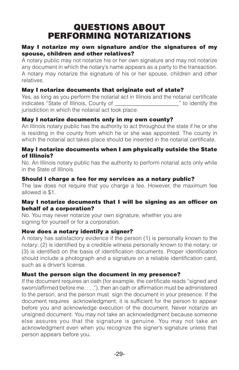# **QUESTIONS ABOUT PERFORMING NOTARIZATIONS**

#### **May I notarize my own signature and/or the signatures of my spouse, children and other relatives?**

A notary public may not notarize his or her own signature and may not notarize any document in which the notary's name appears as a party to the transaction. A notary may notarize the signature of his or her spouse, children and other relatives.

### **May I notarize documents that originate out of state?**

Yes, as long as you perform the notarial act in Illinois and the notarial certificate indicates "State of Illinois, County of \_\_\_\_\_\_\_\_\_\_\_\_\_\_\_\_\_\_\_\_\_\_\_" to identify the jurisdiction in which the notarial act took place.

### **May I notarize documents only in my own county?**

An Illinois notary public has the authority to act throughout the state if he or she is residing in the county from which he or she was appointed. The county in which the notarial act takes place should be inserted in the notarial certificate.

#### **May I notarize documents when I am physically outside the State of Illinois?**

No. An Illinois notary public has the authority to perform notarial acts only while in the State of Illinois.

#### **Should I charge a fee for my services as a notary public?**

The law does not require that you charge a fee. However, the maximum fee allowed is \$1.

#### **May I notarize documents that I will be signing as an officer on behalf of a corporation?**

No. You may never notarize your own signature, whether you are signing for yourself or for a corporation.

#### **How does a notary identify a signer?**

A notary has satisfactory evidence if the person (1) is personally known to the notary; (2) is identified by a credible witness personally known to the notary; or (3) is identified on the basis of identification documents. Proper identification should include a photograph and a signature on a reliable identification card, such as a driver's license.

#### **Must the person sign the document in my presence?**

If the document requires an oath (for example, the certificate reads "signed and sworn/affirmed before me. . . ."), then an oath or affirmation must be administered to the person, and the person must sign the document in your presence. If the document requires acknowledgment, it is sufficient for the person to appear before you and acknowledge execution of the document. Never notarize an unsigned document. You may not take an acknowledgment because someone else assures you that the signature is genuine. You may not take an acknowledgment even when you recognize the signer's signature unless that person appears before you.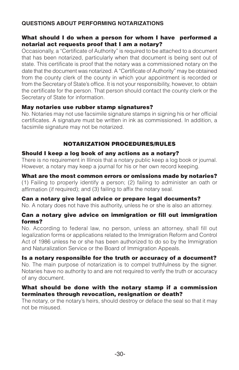#### **QUESTIONS ABOUT PERFORMING NOTARIZATIONS**

#### **What should I do when a person for whom I have performed a notarial act requests proof that I am a notary?**

Occasionally, a "Certificate of Authority" is required to be attached to a document that has been notarized, particularly when that document is being sent out of state. This certificate is proof that the notary was a commissioned notary on the date that the document was notarized. A "Certificate of Authority" may be obtained from the county clerk of the county in which your appointment is recorded or from the Secretary of State's office. It is not your responsibility, however, to obtain the certificate for the person. That person should contact the county clerk or the Secretary of State for information.

#### **May notaries use rubber stamp signatures?**

No. Notaries may not use facsimile signature stamps in signing his or her official certificates. A signature must be written in ink as commissioned. In addition, a facsimile signature may not be notarized.

# **NOTARIZATION PROCEDURES/RULES**

#### **Should I keep a log book of any actions as a notary?**

There is no requirement in Illinois that a notary public keep a log book or journal. However, a notary may keep a journal for his or her own record keeping.

#### **What are the most common errors or omissions made by notaries?**

(1) Failing to properly identify a person; (2) failing to administer an oath or affirmation (if required); and (3) failing to affix the notary seal.

#### **Can a notary give legal advice or prepare legal documents?**

No. A notary does not have this authority, unless he or she is also an attorney.

#### **Can a notary give advice on immigration or fill out immigration forms?**

No. According to federal law, no person, unless an attorney, shall fill out legalization forms or applications related to the Immigration Reform and Control Act of 1986 unless he or she has been authorized to do so by the Immigration and Naturalization Service or the Board of Immigration Appeals.

#### **Is a notary responsible for the truth or accuracy of a document?**

No. The main purpose of notarization is to compel truthfulness by the signer. Notaries have no authority to and are not required to verify the truth or accuracy of any document.

#### **What should be done with the notary stamp if a commission terminates through revocation, resignation or death?**

The notary, or the notary's heirs, should destroy or deface the seal so that it may not be misused.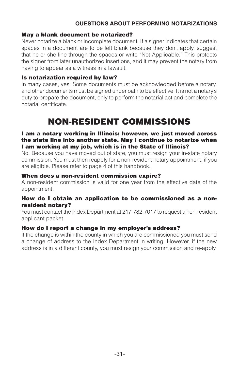### **QUESTIONS ABOUT PERFORMING NOTARIZATIONS**

#### **May a blank document be notarized?**

Never notarize a blank or incomplete document. If a signer indicates that certain spaces in a document are to be left blank because they don't apply, suggest that he or she line through the spaces or write "Not Applicable." This protects the signer from later unauthorized insertions, and it may prevent the notary from having to appear as a witness in a lawsuit.

#### **Is notarization required by law?**

In many cases, yes. Some documents must be acknowledged before a notary, and other documents must be signed under oath to be effective. It is not a notary's duty to prepare the document, only to perform the notarial act and complete the notarial certificate.

# **NON-RESIDENT COMMISSIONS**

#### **I am a notary working in Illinois; however, we just moved across the state line into another state. May I continue to notarize when I am working at my job, which is in the State of Illinois?**

No. Because you have moved out of state, you must resign your in-state notary commission. You must then reapply for a non-resident notary appointment, if you are eligible. Please refer to page 4 of this handbook.

#### **When does a non-resident commission expire?**

A non-resident commission is valid for one year from the effective date of the appointment.

#### **How do I obtain an application to be commissioned as a nonresident notary?**

You must contact the Index Department at 217-782-7017 to request a non-resident applicant packet.

#### **How do I report a change in my employer's address?**

If the change is within the county in which you are commissioned you must send a change of address to the Index Department in writing. However, if the new address is in a different county, you must resign your commission and re-apply.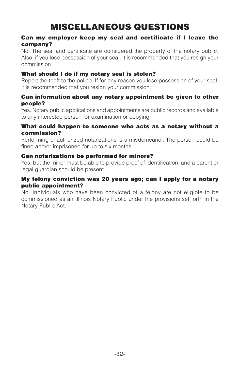# **MISCELLANEOUS QUESTIONS**

#### **Can my employer keep my seal and certificate if I leave the company?**

No. The seal and certificate are considered the property of the notary public. Also, if you lose possession of your seal, it is recommended that you resign your commission.

#### **What should I do if my notary seal is stolen?**

Report the theft to the police. If for any reason you lose possession of your seal, it is recommended that you resign your commission.

#### **Can information about any notary appointment be given to other people?**

Yes. Notary public applications and appointments are public records and available to any interested person for examination or copying.

#### **What could happen to someone who acts as a notary without a commission?**

Performing unauthorized notarizations is a misdemeanor. The person could be fined and/or imprisoned for up to six months.

#### **Can notarizations be performed for minors?**

Yes, but the minor must be able to provide proof of identification, and a parent or legal guardian should be present.

#### **My felony conviction was 20 years ago; can I apply for a notary public appointment?**

No. Individuals who have been convicted of a felony are not eligible to be commissioned as an Illinois Notary Public under the provisions set forth in the Notary Public Act.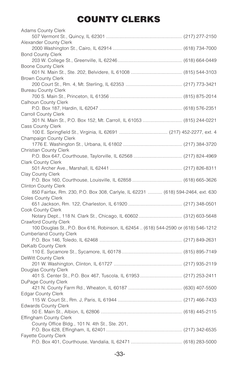| Adams County Clerk                                                                  |  |
|-------------------------------------------------------------------------------------|--|
|                                                                                     |  |
| Alexander County Clerk                                                              |  |
|                                                                                     |  |
| <b>Bond County Clerk</b>                                                            |  |
|                                                                                     |  |
| <b>Boone County Clerk</b>                                                           |  |
|                                                                                     |  |
| <b>Brown County Clerk</b>                                                           |  |
|                                                                                     |  |
| <b>Bureau County Clerk</b>                                                          |  |
| <b>Calhoun County Clerk</b>                                                         |  |
|                                                                                     |  |
| <b>Carroll County Clerk</b>                                                         |  |
| 301 N. Main St., P.O. Box 152, Mt. Carroll, IL 61053  (815) 244-0221                |  |
| Cass County Clerk                                                                   |  |
|                                                                                     |  |
| Champaign County Clerk                                                              |  |
|                                                                                     |  |
| Christian County Clerk                                                              |  |
|                                                                                     |  |
| <b>Clark County Clerk</b>                                                           |  |
|                                                                                     |  |
| Clay County Clerk                                                                   |  |
| <b>Clinton County Clerk</b>                                                         |  |
| 850 Fairfax, Rm. 230, P.O. Box 308, Carlyle, IL 62231  (618) 594-2464, ext. 630     |  |
| <b>Coles County Clerk</b>                                                           |  |
|                                                                                     |  |
| Cook County Clerk                                                                   |  |
|                                                                                     |  |
| Crawford County Clerk                                                               |  |
| 100 Douglas St., P.O. Box 616, Robinson, IL 62454  (618) 544-2590 or (618) 546-1212 |  |
| <b>Cumberland County Clerk</b>                                                      |  |
|                                                                                     |  |
| DeKalb County Clerk                                                                 |  |
|                                                                                     |  |
| DeWitt County Clerk                                                                 |  |
| Douglas County Clerk                                                                |  |
|                                                                                     |  |
| DuPage County Clerk                                                                 |  |
|                                                                                     |  |
|                                                                                     |  |
|                                                                                     |  |
| <b>Edgar County Clerk</b>                                                           |  |
| <b>Edwards County Clerk</b>                                                         |  |
|                                                                                     |  |
| Effingham County Clerk                                                              |  |
| County Office Bldg., 101 N. 4th St., Ste. 201,                                      |  |
|                                                                                     |  |
| <b>Fayette County Clerk</b>                                                         |  |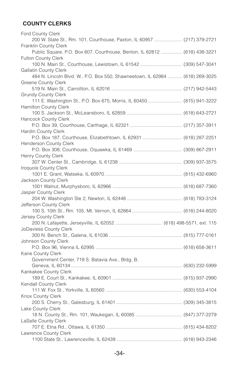| <b>Ford County Clerk</b>                                                     |  |
|------------------------------------------------------------------------------|--|
| 200 W. State St., Rm. 101, Courthouse, Paxton, IL 60957  (217) 379-2721      |  |
| <b>Franklin County Clerk</b>                                                 |  |
| Public Square, P.O. Box 607, Courthouse, Benton, IL 62812  (618) 438-3221    |  |
| <b>Fulton County Clerk</b>                                                   |  |
| 100 N. Main St., Courthouse, Lewistown, IL 61542  (309) 547-3041             |  |
| <b>Gallatin County Clerk</b>                                                 |  |
| 484 N. Lincoln Blvd. W., P.O. Box 550, Shawneetown, IL 62984  (618) 269-3025 |  |
| Greene County Clerk                                                          |  |
|                                                                              |  |
| Grundy County Clerk                                                          |  |
| 111 E. Washington St., P.O. Box 675, Morris, IL 60450  (815) 941-3222        |  |
| <b>Hamilton County Clerk</b>                                                 |  |
|                                                                              |  |
| <b>Hancock County Clerk</b>                                                  |  |
|                                                                              |  |
| <b>Hardin County Clerk</b>                                                   |  |
| P.O. Box 187, Courthouse, Elizabethtown, IL 62931  (618) 287-2251            |  |
| Henderson County Clerk                                                       |  |
|                                                                              |  |
| <b>Henry County Clerk</b>                                                    |  |
|                                                                              |  |
| <b>Iroquois County Clerk</b>                                                 |  |
|                                                                              |  |
| Jackson County Clerk                                                         |  |
|                                                                              |  |
| Jasper County Clerk                                                          |  |
|                                                                              |  |
| Jefferson County Clerk                                                       |  |
|                                                                              |  |
| Jersey County Clerk                                                          |  |
|                                                                              |  |
| JoDaviess County Clerk                                                       |  |
|                                                                              |  |
| Johnson County Clerk                                                         |  |
|                                                                              |  |
| Kane County Clerk                                                            |  |
| Government Center, 719 S. Batavia Ave., Bldg. B,                             |  |
|                                                                              |  |
| Kankakee County Clerk                                                        |  |
|                                                                              |  |
| <b>Kendall County Clerk</b>                                                  |  |
|                                                                              |  |
| Knox County Clerk                                                            |  |
|                                                                              |  |
| Lake County Clerk                                                            |  |
|                                                                              |  |
| LaSalle County Clerk                                                         |  |
|                                                                              |  |
| Lawrence County Clerk                                                        |  |
|                                                                              |  |
|                                                                              |  |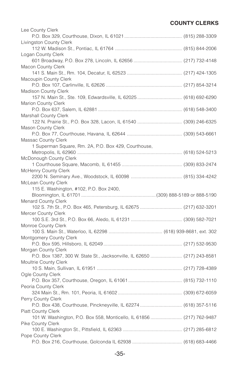| Lee County Clerk                                                        |  |
|-------------------------------------------------------------------------|--|
|                                                                         |  |
| Livingston County Clerk                                                 |  |
|                                                                         |  |
| Logan County Clerk                                                      |  |
|                                                                         |  |
| <b>Macon County Clerk</b>                                               |  |
|                                                                         |  |
| Macoupin County Clerk                                                   |  |
|                                                                         |  |
| <b>Madison County Clerk</b>                                             |  |
| 157 N. Main St., Ste. 109, Edwardsville, IL 62025  (618) 692-6290       |  |
| <b>Marion County Clerk</b>                                              |  |
|                                                                         |  |
| <b>Marshall County Clerk</b>                                            |  |
| 122 N. Prairie St., P.O. Box 328, Lacon, IL 61540  (309) 246-6325       |  |
| <b>Mason County Clerk</b>                                               |  |
|                                                                         |  |
| Massac County Clerk                                                     |  |
| 1 Superman Square, Rm. 2A, P.O. Box 429, Courthouse,                    |  |
|                                                                         |  |
| McDonough County Clerk                                                  |  |
|                                                                         |  |
| <b>McHenry County Clerk</b>                                             |  |
|                                                                         |  |
| <b>McLean County Clerk</b>                                              |  |
| 115 E. Washington, #102, P.O. Box 2400,                                 |  |
|                                                                         |  |
| <b>Menard County Clerk</b>                                              |  |
|                                                                         |  |
| <b>Mercer County Clerk</b>                                              |  |
|                                                                         |  |
| Monroe County Clerk                                                     |  |
|                                                                         |  |
| Montgomery County Clerk                                                 |  |
|                                                                         |  |
| Morgan County Clerk                                                     |  |
| P.O. Box 1387, 300 W. State St., Jacksonville, IL 62650  (217) 243-8581 |  |
| <b>Moultrie County Clerk</b>                                            |  |
|                                                                         |  |
| Ogle County Clerk                                                       |  |
|                                                                         |  |
| Peoria County Clerk                                                     |  |
|                                                                         |  |
| Perry County Clerk                                                      |  |
|                                                                         |  |
| <b>Piatt County Clerk</b>                                               |  |
| 101 W. Washington, P.O. Box 558, Monticello, IL 61856  (217) 762-9487   |  |
| Pike County Clerk                                                       |  |
|                                                                         |  |
| Pope County Clerk                                                       |  |
|                                                                         |  |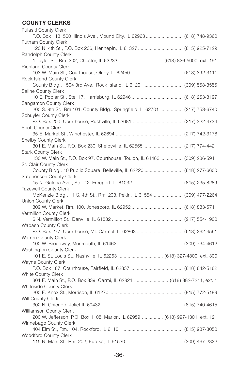| Pulaski County Clerk                                                                                 |  |
|------------------------------------------------------------------------------------------------------|--|
| P.O. Box 118, 500 Illinois Ave., Mound City, IL 62963  (618) 748-9360                                |  |
| Putnam County Clerk                                                                                  |  |
| 120 N. 4th St., P.O. Box 236, Hennepin, IL 61327  (815) 925-7129                                     |  |
| Randolph County Clerk                                                                                |  |
| 1 Taylor St., Rm. 202, Chester, IL 62233  (618) 826-5000, ext. 191                                   |  |
| <b>Richland County Clerk</b>                                                                         |  |
|                                                                                                      |  |
| Rock Island County Clerk                                                                             |  |
| County Bldg., 1504 3rd Ave., Rock Island, IL 61201  (309) 558-3555                                   |  |
| Saline County Clerk                                                                                  |  |
|                                                                                                      |  |
| Sangamon County Clerk<br>200 S. 9th St., Rm 101, County Bldg., Springfield, IL 62701  (217) 753-6740 |  |
|                                                                                                      |  |
| Schuyler County Clerk                                                                                |  |
| <b>Scott County Clerk</b>                                                                            |  |
|                                                                                                      |  |
| <b>Shelby County Clerk</b>                                                                           |  |
| 301 E. Main St., P.O. Box 230, Shelbyville, IL 62565  (217) 774-4421                                 |  |
| <b>Stark County Clerk</b>                                                                            |  |
| 130 W. Main St., P.O. Box 97, Courthouse, Toulon, IL 61483  (309) 286-5911                           |  |
| St. Clair County Clerk                                                                               |  |
| County Bldg., 10 Public Square, Belleville, IL 62220  (618) 277-6600                                 |  |
| <b>Stephenson County Clerk</b>                                                                       |  |
|                                                                                                      |  |
| <b>Tazewell County Clerk</b>                                                                         |  |
| McKenzie Bldg., 11 S. 4th St., Rm. 203, Pekin, IL 61554  (309) 477-2264                              |  |
| <b>Union County Clerk</b>                                                                            |  |
|                                                                                                      |  |
| Vermilion County Clerk                                                                               |  |
|                                                                                                      |  |
| Wabash County Clerk                                                                                  |  |
|                                                                                                      |  |
| Warren County Clerk                                                                                  |  |
|                                                                                                      |  |
| <b>Washington County Clerk</b>                                                                       |  |
|                                                                                                      |  |
| Wayne County Clerk                                                                                   |  |
| <b>White County Clerk</b>                                                                            |  |
| 301 E. Main St., P.O. Box 339, Carmi, IL 62821  (618) 382-7211, ext. 1                               |  |
| <b>Whiteside County Clerk</b>                                                                        |  |
|                                                                                                      |  |
| Will County Clerk                                                                                    |  |
|                                                                                                      |  |
| <b>Williamson County Clerk</b>                                                                       |  |
| 200 W. Jefferson, P.O. Box 1108, Marion, IL 62959  (618) 997-1301, ext. 121                          |  |
| Winnebago County Clerk                                                                               |  |
|                                                                                                      |  |
| <b>Woodford County Clerk</b>                                                                         |  |
|                                                                                                      |  |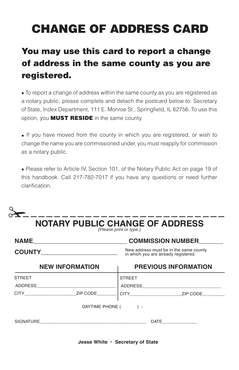# **CHANGE OF ADDRESS CARD**

# **You may use this card to report a change of address in the same county as you are registered.**

• To report a change of address within the same county as you are registered as a notary public, please complete and detach the postcard below to: Secretary of State, Index Department, 111 E. Monroe St., Springfield, IL 62756. To use this option, you **MUST RESIDE** in the same county.

• If you have moved from the county in which you are registered, or wish to change the name you are commissioned under, you must reapply for commission as a notary public.

• Please refer to Article IV, Section 101, of the Notary Public Act on page 19 of this handbook. Call 217-782-7017 if you have any questions or need further clarification.

|               | COUNTY_______________________<br><b>NEW INFORMATION</b> |               | New address must be in the same county<br>in which you are already registered.<br><b>PREVIOUS INFORMATION</b> |  |
|---------------|---------------------------------------------------------|---------------|---------------------------------------------------------------------------------------------------------------|--|
|               |                                                         |               |                                                                                                               |  |
| <b>STREET</b> |                                                         | <b>STREET</b> |                                                                                                               |  |
|               |                                                         |               |                                                                                                               |  |

**Jesse White • Secretary of State**